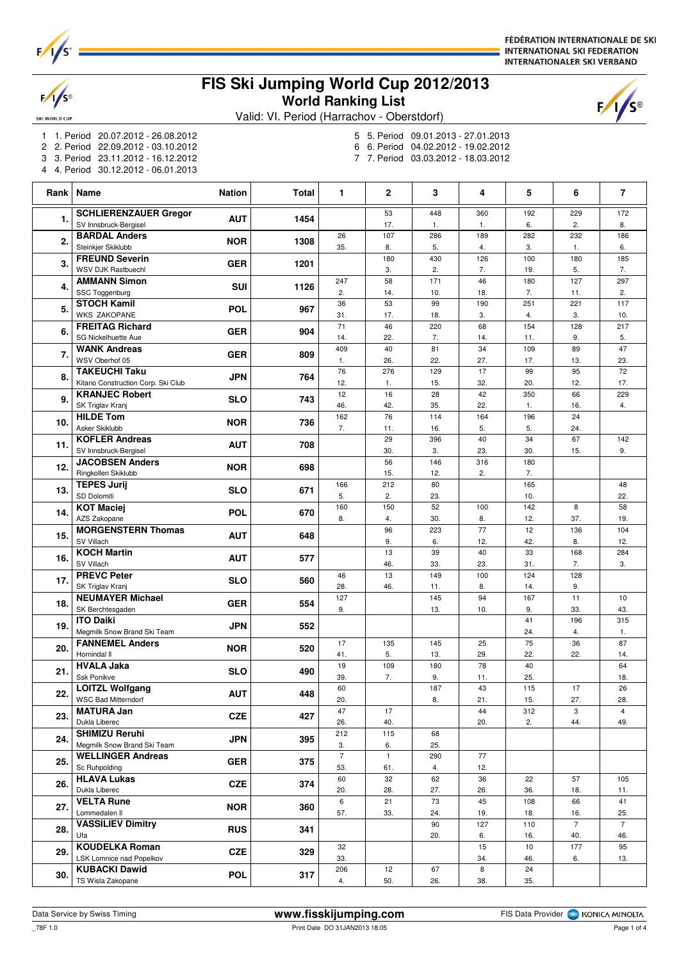

 $\frac{1}{s}$ 

SKI WORLD CUP

FÉDÉRATION INTERNATIONALE DE SKI **INTERNATIONAL SKI FEDERATION INTERNATIONALER SKI VERBAND** 

## **FIS Ski Jumping World Cup 2012/2013 World Ranking List**



Valid: VI. Period (Harrachov - Oberstdorf)

- 1 1. Period 20.07.2012 26.08.2012
- 2 2. Period 22.09.2012 03.10.2012
- 3 3. Period 23.11.2012 16.12.2012
- 4 4. Period 30.12.2012 06.01.2013
- 5 5. Period 09.01.2013 27.01.2013
- 6 6. Period 04.02.2012 19.02.2012
- 7 7. Period 03.03.2012 18.03.2012

| Rank | Name                                                    | <b>Nation</b> | <b>Total</b> | 1                    | $\mathbf{2}$       | 3          | 4          | 5          | 6              | $\overline{7}$ |
|------|---------------------------------------------------------|---------------|--------------|----------------------|--------------------|------------|------------|------------|----------------|----------------|
| 1.   | <b>SCHLIERENZAUER Gregor</b>                            | <b>AUT</b>    | 1454         |                      | 53                 | 448        | 360        | 192        | 229            | 172            |
|      | SV Innsbruck-Bergisel                                   |               |              |                      | 17.                | 1.         | 1.         | 6.         | 2.             | 8.             |
| 2.   | <b>BARDAL Anders</b><br>Steinkjer Skiklubb              | <b>NOR</b>    | 1308         | 26<br>35.            | 107<br>8.          | 286<br>5.  | 189<br>4.  | 282<br>3.  | 232<br>1.      | 186<br>6.      |
|      | <b>FREUND Severin</b>                                   |               |              |                      | 180                | 430        | 126        | 100        | 180            | 185            |
| 3.   | WSV DJK Rastbuechl                                      | <b>GER</b>    | 1201         |                      | 3.                 | 2.         | 7.         | 19.        | 5.             | 7.             |
| 4.   | <b>AMMANN Simon</b>                                     | SUI           | 1126         | 247                  | 58                 | 171        | 46         | 180        | 127            | 297            |
|      | SSC Toggenburg<br><b>STOCH Kamil</b>                    |               |              | 2.<br>36             | 14.<br>53          | 10.<br>99  | 18.<br>190 | 7.<br>251  | 11.<br>221     | 2.<br>117      |
| 5.   | <b>WKS ZAKOPANE</b>                                     | <b>POL</b>    | 967          | 31.                  | 17.                | 18.        | 3.         | 4.         | 3.             | 10.            |
| 6.   | <b>FREITAG Richard</b>                                  | <b>GER</b>    | 904          | 71                   | 46                 | 220        | 68         | 154        | 128            | 217            |
|      | SG Nickelhuette Aue                                     |               |              | 14.                  | 22.                | 7.         | 14.        | 11.        | 9.             | 5.             |
| 7.   | <b>WANK Andreas</b><br>WSV Oberhof 05                   | <b>GER</b>    | 809          | 409<br>1.            | 40<br>26.          | 81<br>22.  | 34<br>27.  | 109<br>17. | 89<br>13.      | 47<br>23.      |
|      | <b>TAKEUCHI Taku</b>                                    |               |              | 76                   | 276                | 129        | 17         | 99         | 95             | 72             |
| 8.   | Kitano Construction Corp. Ski Club                      | <b>JPN</b>    | 764          | 12.                  | 1.                 | 15.        | 32.        | 20.        | 12.            | 17.            |
| 9.   | <b>KRANJEC Robert</b>                                   | <b>SLO</b>    | 743          | 12                   | 16                 | 28         | 42         | 350        | 66             | 229            |
|      | SK Triglav Kranj<br><b>HILDE Tom</b>                    |               |              | 46.<br>162           | 42.<br>76          | 35.<br>114 | 22.<br>164 | 1.<br>196  | 16.<br>24      | 4.             |
| 10.  | Asker Skiklubb                                          | <b>NOR</b>    | 736          | 7.                   | 11.                | 16.        | 5.         | 5.         | 24.            |                |
| 11.  | <b>KOFLER Andreas</b>                                   | <b>AUT</b>    | 708          |                      | 29                 | 396        | 40         | 34         | 67             | 142            |
|      | SV Innsbruck-Bergisel                                   |               |              |                      | 30.                | 3.         | 23.        | 30.        | 15.            | 9.             |
| 12.  | <b>JACOBSEN Anders</b><br>Ringkollen Skiklubb           | <b>NOR</b>    | 698          |                      | 56<br>15.          | 146<br>12. | 316<br>2.  | 180<br>7.  |                |                |
|      | <b>TEPES Jurij</b>                                      |               |              | 166                  | 212                | 80         |            | 165        |                | 48             |
| 13.  | SD Dolomiti                                             | <b>SLO</b>    | 671          | 5.                   | 2.                 | 23.        |            | 10.        |                | 22.            |
| 14.  | <b>KOT Maciej</b>                                       | <b>POL</b>    | 670          | 160                  | 150                | 52         | 100        | 142        | 8              | 58             |
|      | AZS Zakopane<br><b>MORGENSTERN Thomas</b>               |               |              | 8.                   | 4.<br>96           | 30.<br>223 | 8.<br>77   | 12.<br>12  | 37.<br>136     | 19.<br>104     |
| 15.  | SV Villach                                              | <b>AUT</b>    | 648          |                      | 9.                 | 6.         | 12.        | 42.        | 8.             | 12.            |
|      | <b>KOCH Martin</b>                                      |               |              |                      | 13                 | 39         | 40         | 33         | 168            | 284            |
| 16.  | SV Villach                                              | <b>AUT</b>    | 577          |                      | 46.                | 33.        | 23.        | 31.        | 7.             | 3.             |
| 17.  | <b>PREVC Peter</b>                                      | <b>SLO</b>    | 560          | 46                   | 13                 | 149        | 100        | 124        | 128            |                |
|      | SK Triglav Kranj<br><b>NEUMAYER Michael</b>             |               |              | 28.<br>127           | 46.                | 11.<br>145 | 8.<br>94   | 14.<br>167 | 9.<br>11       | 10             |
| 18.  | SK Berchtesgaden                                        | <b>GER</b>    | 554          | 9.                   |                    | 13.        | 10.        | 9.         | 33.            | 43.            |
| 19.  | <b>ITO Daiki</b>                                        | <b>JPN</b>    | 552          |                      |                    |            |            | 41         | 196            | 315            |
|      | Megmilk Snow Brand Ski Team<br><b>FANNEMEL Anders</b>   |               |              | 17                   | 135                | 145        |            | 24.<br>75  | 4.<br>36       | 1.<br>87       |
| 20.  | Hornindal II                                            | <b>NOR</b>    | 520          | 41.                  | 5.                 | 13.        | 25<br>29.  | 22.        | 22.            | 14.            |
| 21.  | <b>HVALA Jaka</b>                                       | <b>SLO</b>    | 490          | 19                   | 109                | 180        | 78         | 40         |                | 64             |
|      | Ssk Ponikve                                             |               |              | 39.                  | 7.                 | 9.         | 11.        | 25.        |                | 18.            |
| 22.  | <b>LOITZL Wolfgang</b><br>WSC Bad Mitterndorf           | <b>AUT</b>    | 448          | 60<br>20.            |                    | 187<br>8.  | 43<br>21.  | 115<br>15. | 17<br>27.      | 26<br>28.      |
|      | <b>MATURA Jan</b>                                       |               |              | 47                   | 17                 |            | 44         | 312        | 3              | $\overline{4}$ |
| 23.  | Dukla Liberec                                           | CZE           | 427          | 26.                  | 40.                |            | 20.        | 2.         | 44.            | 49.            |
| 24.  | <b>SHIMIZU Reruhi</b>                                   | <b>JPN</b>    | 395          | 212                  | 115                | 68         |            |            |                |                |
|      | Megmilk Snow Brand Ski Team<br><b>WELLINGER Andreas</b> |               |              | 3.<br>$\overline{7}$ | 6.<br>$\mathbf{1}$ | 25.<br>290 | 77         |            |                |                |
| 25.  | Sc Ruhpolding                                           | <b>GER</b>    | 375          | 53.                  | 61.                | 4.         | 12.        |            |                |                |
| 26.  | <b>HLAVA Lukas</b>                                      | <b>CZE</b>    | 374          | 60                   | 32                 | 62         | 36         | 22         | 57             | 105            |
|      | Dukla Liberec                                           |               |              | 20.                  | 28.                | 27.        | 26.        | 36.        | 18.            | 11.            |
| 27.  | <b>VELTA Rune</b><br>Lommedalen II                      | <b>NOR</b>    | 360          | 6<br>57.             | 21<br>33.          | 73<br>24.  | 45<br>19.  | 108<br>18. | 66<br>16.      | 41<br>25.      |
|      | <b>VASSILIEV Dimitry</b>                                |               |              |                      |                    | 90         | 127        | 110        | $\overline{7}$ | $\overline{7}$ |
| 28.  | Ufa                                                     | <b>RUS</b>    | 341          |                      |                    | 20.        | 6.         | 16.        | 40.            | 46.            |
| 29.  | <b>KOUDELKA Roman</b>                                   | <b>CZE</b>    | 329          | 32                   |                    |            | 15         | 10         | 177            | 95             |
|      | LSK Lomnice nad Popelkov<br><b>KUBACKI Dawid</b>        |               |              | 33.<br>206           | 12                 | 67         | 34.<br>8   | 46.<br>24  | 6.             | 13.            |
| 30.  | TS Wisla Zakopane                                       | <b>POL</b>    | 317          | 4.                   | 50.                | 26.        | 38.        | 35.        |                |                |

\_78F 1.0 Print Date DO 31JAN2013 18:05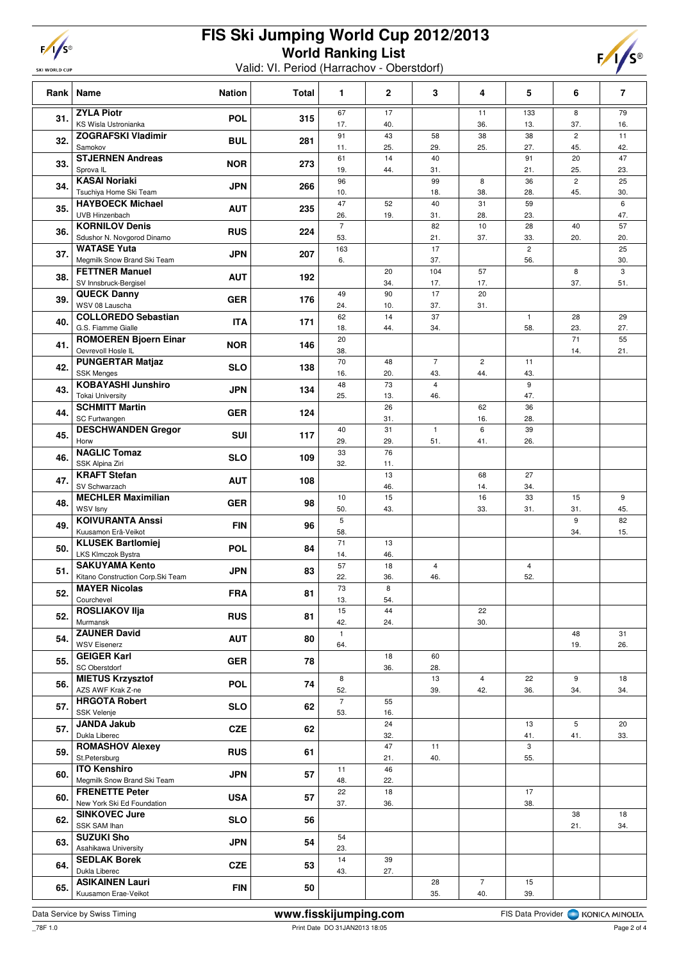| ı | I<br>£ |
|---|--------|
|   |        |

**SKI WORLD CUP** 

## **FIS Ski Jumping World Cup 2012/2013 World Ranking List**

Valid: VI. Period (Harrachov - Oberstdorf)



|     | Rank   Name                                               | <b>Nation</b> | <b>Total</b> | 1                     | $\mathbf 2$ | 3                     | 4                     | 5                     | 6                     | $\overline{\phantom{a}}$ |
|-----|-----------------------------------------------------------|---------------|--------------|-----------------------|-------------|-----------------------|-----------------------|-----------------------|-----------------------|--------------------------|
| 31. | <b>ZYLA Piotr</b><br>KS Wisla Ustronianka                 | <b>POL</b>    | 315          | 67<br>17.             | 17<br>40.   |                       | 11<br>36.             | 133<br>13.            | 8<br>37.              | 79<br>16.                |
| 32. | <b>ZOGRAFSKI Vladimir</b><br>Samokov                      | <b>BUL</b>    | 281          | 91<br>11.             | 43<br>25.   | 58<br>29.             | 38<br>25.             | 38<br>27.             | $\overline{2}$<br>45. | 11<br>42.                |
| 33. | <b>STJERNEN Andreas</b><br>Sprova IL                      | <b>NOR</b>    | 273          | 61<br>19.             | 14<br>44.   | 40<br>31.             |                       | 91<br>21.             | 20<br>25.             | 47<br>23.                |
| 34. | <b>KASAI Noriaki</b><br>Tsuchiya Home Ski Team            | <b>JPN</b>    | 266          | 96<br>10.             |             | 99<br>18.             | 8<br>38.              | 36<br>28.             | $\overline{2}$<br>45. | 25<br>30.                |
| 35. | <b>HAYBOECK Michael</b><br>UVB Hinzenbach                 | <b>AUT</b>    | 235          | 47<br>26.             | 52<br>19.   | 40<br>31.             | 31<br>28.             | 59<br>23.             |                       | 6<br>47.                 |
| 36. | <b>KORNILOV Denis</b><br>Sdushor N. Novgorod Dinamo       | <b>RUS</b>    | 224          | $\overline{7}$        |             | 82                    | 10                    | 28                    | 40                    | 57                       |
| 37. | <b>WATASE Yuta</b>                                        | <b>JPN</b>    | 207          | 53.<br>163            |             | 21.<br>17             | 37.                   | 33.<br>$\overline{c}$ | 20.                   | 20.<br>25                |
| 38. | Megmilk Snow Brand Ski Team<br><b>FETTNER Manuel</b>      | <b>AUT</b>    | 192          | 6.                    | 20          | 37.<br>104            | 57                    | 56.                   | 8                     | 30.<br>3                 |
| 39. | SV Innsbruck-Bergisel<br><b>QUECK Danny</b>               | <b>GER</b>    | 176          | 49                    | 34.<br>90   | 17.<br>17             | 17.<br>20             |                       | 37.                   | 51.                      |
| 40. | WSV 08 Lauscha<br><b>COLLOREDO Sebastian</b>              | <b>ITA</b>    | 171          | 24.<br>62             | 10.<br>14   | 37.<br>37             | 31.                   | $\mathbf{1}$          | 28                    | 29                       |
| 41. | G.S. Fiamme Gialle<br><b>ROMOEREN Bjoern Einar</b>        | <b>NOR</b>    | 146          | 18.<br>20             | 44.         | 34.                   |                       | 58.                   | 23.<br>71             | 27.<br>55                |
| 42. | Oevrevoll Hosle IL<br><b>PUNGERTAR Matjaz</b>             | <b>SLO</b>    | 138          | 38.<br>70             | 48          | $\overline{7}$        | $\overline{c}$        | 11                    | 14.                   | 21.                      |
| 43. | <b>SSK Menges</b><br><b>KOBAYASHI Junshiro</b>            | <b>JPN</b>    | 134          | 16.<br>48             | 20.<br>73   | 43.<br>$\overline{4}$ | 44.                   | 43.<br>9              |                       |                          |
| 44. | <b>Tokai University</b><br><b>SCHMITT Martin</b>          | <b>GER</b>    | 124          | 25.                   | 13.<br>26   | 46.                   | 62                    | 47.<br>36             |                       |                          |
| 45. | SC Furtwangen<br><b>DESCHWANDEN Gregor</b>                | SUI           | 117          | 40                    | 31.<br>31   | $\mathbf{1}$          | 16.<br>6              | 28.<br>39             |                       |                          |
| 46. | Horw<br><b>NAGLIC Tomaz</b>                               | <b>SLO</b>    | 109          | 29.<br>33             | 29.<br>76   | 51.                   | 41.                   | 26.                   |                       |                          |
|     | SSK Alpina Ziri<br><b>KRAFT Stefan</b>                    |               |              | 32.                   | 11.<br>13   |                       | 68                    | 27                    |                       |                          |
| 47. | SV Schwarzach<br><b>MECHLER Maximilian</b>                | <b>AUT</b>    | 108          | 10                    | 46.<br>15   |                       | 14.<br>16             | 34.<br>33             | 15                    | 9                        |
| 48. | WSV Isny<br><b>KOIVURANTA Anssi</b>                       | <b>GER</b>    | 98           | 50.<br>5              | 43.         |                       | 33.                   | 31.                   | 31.<br>9              | 45.<br>82                |
| 49. | Kuusamon Erä-Veikot<br><b>KLUSEK Bartlomiej</b>           | <b>FIN</b>    | 96           | 58.<br>71             | 13          |                       |                       |                       | 34.                   | 15.                      |
| 50. | <b>LKS Klmczok Bystra</b><br><b>SAKUYAMA Kento</b>        | <b>POL</b>    | 84           | 14.<br>57             | 46.<br>18   | $\overline{4}$        |                       | $\overline{4}$        |                       |                          |
| 51. | Kitano Construction Corp.Ski Team<br><b>MAYER Nicolas</b> | <b>JPN</b>    | 83           | 22.<br>73             | 36.<br>8    | 46.                   |                       | 52.                   |                       |                          |
| 52. | Courchevel                                                | <b>FRA</b>    | 81           | 13.                   | 54.         |                       |                       |                       |                       |                          |
| 52. | <b>ROSLIAKOV IIja</b><br>Murmansk                         | <b>RUS</b>    | 81           | 15<br>42.             | 44<br>24.   |                       | 22<br>30.             |                       |                       |                          |
| 54. | <b>ZAUNER David</b><br><b>WSV Eisenerz</b>                | <b>AUT</b>    | 80           | $\mathbf{1}$<br>64.   |             |                       |                       |                       | 48<br>19.             | 31<br>26.                |
| 55. | <b>GEIGER Karl</b><br>SC Oberstdorf                       | <b>GER</b>    | 78           |                       | 18<br>36.   | 60<br>28.             |                       |                       |                       |                          |
| 56. | <b>MIETUS Krzysztof</b><br>AZS AWF Krak Z-ne              | <b>POL</b>    | 74           | 8<br>52.              |             | 13<br>39.             | $\overline{4}$<br>42. | 22<br>36.             | 9<br>34.              | 18<br>34.                |
| 57. | <b>HRGOTA Robert</b><br>SSK Velenje                       | <b>SLO</b>    | 62           | $\overline{7}$<br>53. | 55<br>16.   |                       |                       |                       |                       |                          |
| 57. | <b>JANDA Jakub</b><br>Dukla Liberec                       | <b>CZE</b>    | 62           |                       | 24<br>32.   |                       |                       | 13<br>41.             | 5<br>41.              | 20<br>33.                |
| 59. | <b>ROMASHOV Alexey</b><br>St.Petersburg                   | <b>RUS</b>    | 61           |                       | 47<br>21.   | 11<br>40.             |                       | 3<br>55.              |                       |                          |
| 60. | <b>ITO Kenshiro</b><br>Megmilk Snow Brand Ski Team        | <b>JPN</b>    | 57           | 11<br>48.             | 46<br>22.   |                       |                       |                       |                       |                          |
| 60. | <b>FRENETTE Peter</b><br>New York Ski Ed Foundation       | <b>USA</b>    | 57           | 22<br>37.             | 18<br>36.   |                       |                       | 17<br>38.             |                       |                          |
| 62. | <b>SINKOVEC Jure</b><br>SSK SAM Ihan                      | <b>SLO</b>    | 56           |                       |             |                       |                       |                       | 38<br>21.             | 18<br>34.                |
| 63. | <b>SUZUKI Sho</b><br>Asahikawa University                 | <b>JPN</b>    | 54           | 54<br>23.             |             |                       |                       |                       |                       |                          |
| 64. | <b>SEDLAK Borek</b><br>Dukla Liberec                      | <b>CZE</b>    | 53           | 14<br>43.             | 39<br>27.   |                       |                       |                       |                       |                          |
| 65. | <b>ASIKAINEN Lauri</b><br>Kuusamon Erae-Veikot            | <b>FIN</b>    | 50           |                       |             | 28<br>35.             | $\overline{7}$<br>40. | 15<br>39.             |                       |                          |
|     |                                                           |               |              |                       |             |                       |                       |                       |                       |                          |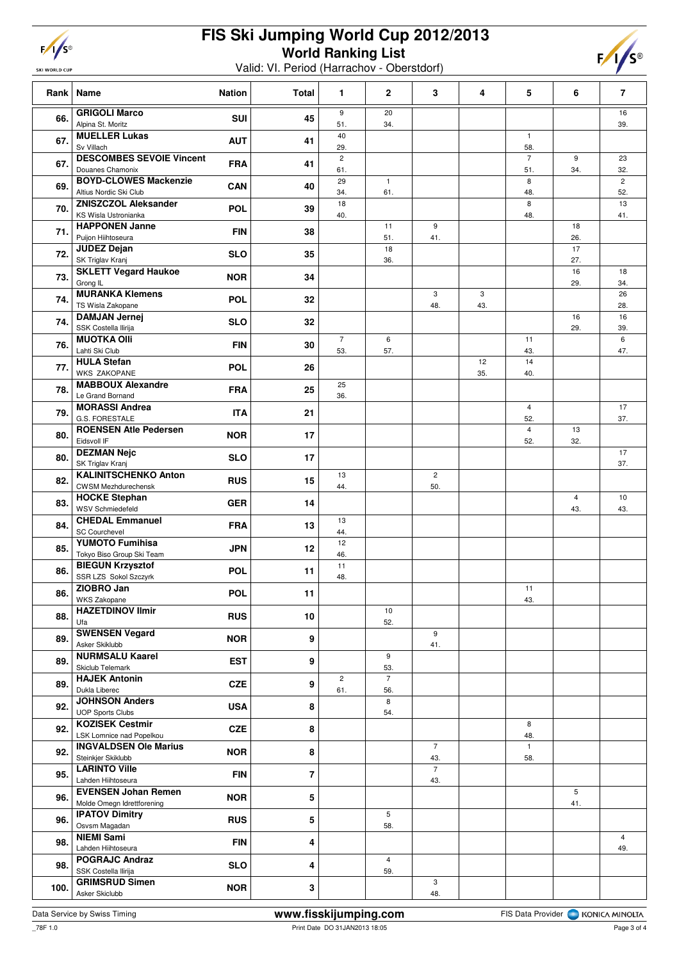| I<br>ı |  |
|--------|--|
|        |  |

SKI WORLD CUP

## **FIS Ski Jumping World Cup 2012/2013 World Ranking List**

Valid: VI. Period (Harrachov - Oberstdorf)



| Rank | Name<br><b>Nation</b>                                                                   | <b>Total</b>            | 1                     | $\mathbf{2}$          | 3                     | 4         | 5                              | 6                     | $\overline{7}$        |
|------|-----------------------------------------------------------------------------------------|-------------------------|-----------------------|-----------------------|-----------------------|-----------|--------------------------------|-----------------------|-----------------------|
| 66.  | <b>GRIGOLI Marco</b><br><b>SUI</b><br>Alpina St. Moritz                                 | 45                      | 9<br>51.              | 20<br>34.             |                       |           |                                |                       | 16<br>39.             |
| 67.  | <b>MUELLER Lukas</b><br><b>AUT</b><br>Sv Villach                                        | 41                      | 40<br>29.             |                       |                       |           | $\mathbf{1}$<br>58.            |                       |                       |
| 67.  | <b>DESCOMBES SEVOIE Vincent</b><br><b>FRA</b><br>Douanes Chamonix                       | 41                      | $\overline{c}$<br>61. |                       |                       |           | $\overline{7}$<br>51.          | 9<br>34.              | 23<br>32.             |
| 69.  | <b>BOYD-CLOWES Mackenzie</b><br>CAN<br>Altius Nordic Ski Club                           | 40                      | 29<br>34.             | $\mathbf{1}$<br>61.   |                       |           | 8<br>48.                       |                       | $\overline{2}$<br>52. |
| 70.  | <b>ZNISZCZOL Aleksander</b><br><b>POL</b><br>KS Wisla Ustronianka                       | 39                      | 18<br>40.             |                       |                       |           | 8<br>48.                       |                       | 13<br>41.             |
| 71.  | <b>HAPPONEN Janne</b><br><b>FIN</b><br>Puijon Hiihtoseura                               | 38                      |                       | 11<br>51.             | 9<br>41.              |           |                                | 18<br>26.             |                       |
| 72.  | <b>JUDEZ Dejan</b><br><b>SLO</b><br>SK Triglav Kranj                                    | 35                      |                       | 18<br>36.             |                       |           |                                | 17<br>27.             |                       |
| 73.  | <b>SKLETT Vegard Haukoe</b><br><b>NOR</b><br>Grong IL                                   | 34                      |                       |                       |                       |           |                                | 16<br>29.             | 18<br>34.             |
| 74.  | <b>MURANKA Klemens</b><br>POL<br>TS Wisla Zakopane                                      | 32                      |                       |                       | 3<br>48.              | 3<br>43.  |                                |                       | 26<br>28.             |
| 74.  | <b>DAMJAN Jernej</b><br><b>SLO</b><br>SSK Costella Ilirija                              | 32                      |                       |                       |                       |           |                                | 16<br>29.             | 16<br>39.             |
| 76.  | <b>MUOTKA Olli</b><br><b>FIN</b><br>Lahti Ski Club                                      | 30                      | $\overline{7}$<br>53. | 6<br>57.              |                       |           | 11<br>43.                      |                       | 6<br>47.              |
| 77.  | <b>HULA Stefan</b><br><b>POL</b><br><b>WKS ZAKOPANE</b>                                 | 26                      |                       |                       |                       | 12<br>35. | 14<br>40.                      |                       |                       |
| 78.  | <b>MABBOUX Alexandre</b><br><b>FRA</b><br>Le Grand Bornand                              | 25                      | 25<br>36.             |                       |                       |           |                                |                       |                       |
| 79.  | <b>MORASSI Andrea</b><br><b>ITA</b><br><b>G.S. FORESTALE</b>                            | 21                      |                       |                       |                       |           | 4<br>52.                       |                       | 17<br>37.             |
| 80.  | <b>ROENSEN Atle Pedersen</b><br><b>NOR</b><br>Eidsvoll IF                               | 17                      |                       |                       |                       |           | $\overline{\mathbf{4}}$<br>52. | 13<br>32.             |                       |
| 80.  | <b>DEZMAN Nejc</b><br><b>SLO</b><br>SK Triglav Kranj                                    | 17                      |                       |                       |                       |           |                                |                       | 17<br>37.             |
| 82.  | <b>KALINITSCHENKO Anton</b><br><b>RUS</b><br><b>CWSM Mezhdurechensk</b>                 | 15                      | 13<br>44.             |                       | $\overline{c}$<br>50. |           |                                |                       |                       |
| 83.  | <b>HOCKE Stephan</b><br><b>GER</b><br><b>WSV Schmiedefeld</b><br><b>CHEDAL Emmanuel</b> | 14                      | 13                    |                       |                       |           |                                | $\overline{4}$<br>43. | 10<br>43.             |
| 84.  | <b>FRA</b><br><b>SC Courchevel</b><br><b>YUMOTO Fumihisa</b>                            | 13                      | 44.<br>12             |                       |                       |           |                                |                       |                       |
| 85.  | <b>JPN</b><br>Tokyo Biso Group Ski Team<br><b>BIEGUN Krzysztof</b>                      | 12                      | 46.<br>11             |                       |                       |           |                                |                       |                       |
| 86.  | <b>POL</b><br>SSR LZS Sokol Szczyrk<br>ZIOBRO Jan                                       | 11                      | 48.                   |                       |                       |           | 11                             |                       |                       |
| 86.  | <b>POL</b><br>WKS Zakopane<br><b>HAZETDINOV Ilmir</b>                                   | 11                      |                       | 10                    |                       |           | 43.                            |                       |                       |
| 88.  | <b>RUS</b><br>Ufa<br><b>SWENSEN Vegard</b>                                              | 10                      |                       | 52.                   | 9                     |           |                                |                       |                       |
| 89.  | <b>NOR</b><br>Asker Skiklubb<br><b>NURMSALU Kaarel</b>                                  | 9                       |                       | 9                     | 41.                   |           |                                |                       |                       |
| 89.  | <b>EST</b><br>Skiclub Telemark<br><b>HAJEK Antonin</b>                                  | 9                       | $\overline{2}$        | 53.<br>$\overline{7}$ |                       |           |                                |                       |                       |
| 89.  | <b>CZE</b><br>Dukla Liberec<br><b>JOHNSON Anders</b>                                    | 9                       | 61.                   | 56.<br>8              |                       |           |                                |                       |                       |
| 92.  | <b>USA</b><br><b>UOP Sports Clubs</b><br><b>KOZISEK Cestmir</b>                         | 8                       |                       | 54.                   |                       |           | 8                              |                       |                       |
| 92.  | <b>CZE</b><br>LSK Lomnice nad Popelkou<br><b>INGVALDSEN Ole Marius</b>                  | 8                       |                       |                       | $\overline{7}$        |           | 48.<br>$\mathbf{1}$            |                       |                       |
| 92.  | <b>NOR</b><br>Steinkjer Skiklubb<br><b>LARINTO Ville</b>                                | 8                       |                       |                       | 43.<br>$\overline{7}$ |           | 58.                            |                       |                       |
| 95.  | <b>FIN</b><br>Lahden Hiihtoseura<br><b>EVENSEN Johan Remen</b>                          | $\overline{\mathbf{r}}$ |                       |                       | 43.                   |           |                                | 5                     |                       |
| 96.  | <b>NOR</b><br>Molde Omegn Idrettforening<br><b>IPATOV Dimitry</b>                       | 5                       |                       | 5                     |                       |           |                                | 41.                   |                       |
| 96.  | <b>RUS</b><br>Osvsm Magadan<br><b>NIEMI Sami</b>                                        | 5                       |                       | 58.                   |                       |           |                                |                       | $\overline{4}$        |
| 98.  | <b>FIN</b><br>Lahden Hiihtoseura<br><b>POGRAJC Andraz</b>                               | 4                       |                       | $\overline{4}$        |                       |           |                                |                       | 49.                   |
| 98.  | <b>SLO</b><br>SSK Costella Ilirija<br><b>GRIMSRUD Simen</b>                             | 4                       |                       | 59.                   | 3                     |           |                                |                       |                       |
| 100. | <b>NOR</b><br>Asker Skiclubb                                                            | 3                       |                       |                       | 48.                   |           |                                |                       |                       |